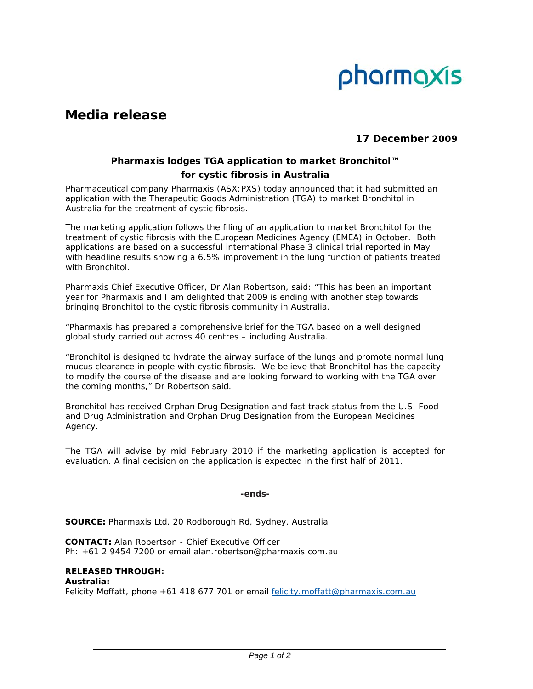

# **Media release**

# **17 December 2009**

# **Pharmaxis lodges TGA application to market Bronchitol™ for cystic fibrosis in Australia**

Pharmaceutical company Pharmaxis (ASX:PXS) today announced that it had submitted an application with the Therapeutic Goods Administration (TGA) to market Bronchitol in Australia for the treatment of cystic fibrosis.

The marketing application follows the filing of an application to market Bronchitol for the treatment of cystic fibrosis with the European Medicines Agency (EMEA) in October. Both applications are based on a successful international Phase 3 clinical trial reported in May with headline results showing a 6.5% improvement in the lung function of patients treated with Bronchitol.

Pharmaxis Chief Executive Officer, Dr Alan Robertson, said: "This has been an important year for Pharmaxis and I am delighted that 2009 is ending with another step towards bringing Bronchitol to the cystic fibrosis community in Australia.

"Pharmaxis has prepared a comprehensive brief for the TGA based on a well designed global study carried out across 40 centres – including Australia.

"Bronchitol is designed to hydrate the airway surface of the lungs and promote normal lung mucus clearance in people with cystic fibrosis. We believe that Bronchitol has the capacity to modify the course of the disease and are looking forward to working with the TGA over the coming months," Dr Robertson said.

Bronchitol has received Orphan Drug Designation and fast track status from the U.S. Food and Drug Administration and Orphan Drug Designation from the European Medicines Agency.

The TGA will advise by mid February 2010 if the marketing application is accepted for evaluation. A final decision on the application is expected in the first half of 2011.

## **-ends-**

**SOURCE:** Pharmaxis Ltd, 20 Rodborough Rd, Sydney, Australia

**CONTACT:** Alan Robertson - Chief Executive Officer Ph: +61 2 9454 7200 or email alan.robertson@pharmaxis.com.au

#### **RELEASED THROUGH: Australia:**

Felicity Moffatt, phone +61 418 677 701 or email felicity.moffatt@pharmaxis.com.au